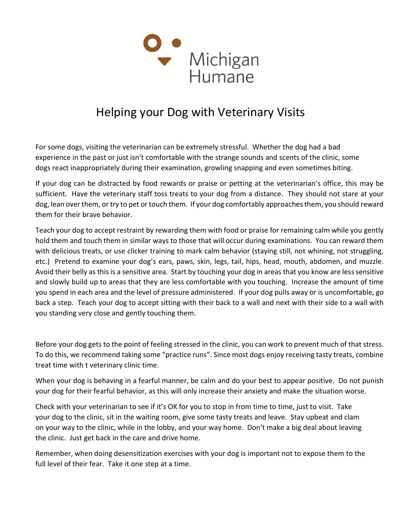

## Helping your Dog with Veterinary Visits

For some dogs, visiting the veterinarian can be extremely stressful. Whether the dog had a bad experience in the past or just isn't comfortable with the strange sounds and scents of the clinic, some dogs react inappropriately during their examination, growling snapping and even sometimes biting.

If your dog can be distracted by food rewards or praise or petting at the veterinarian's office, this may be sufficient. Have the veterinary staff toss treats to your dog from a distance. They should not stare at your dog, lean over them, or try to pet or touch them. If your dog comfortably approaches them, you should reward them for their brave behavior.

Teach your dog to accept restraint by rewarding them with food or praise for remaining calm while you gently hold them and touch them in similar ways to those that will occur during examinations. You can reward them with delicious treats, or use clicker training to mark calm behavior (staying still, not whining, not struggling, etc.) Pretend to examine your dog's ears, paws, skin, legs, tail, hips, head, mouth, abdomen, and muzzle. Avoid their belly as this is a sensitive area. Start by touching your dog in areas that you know are less sensitive and slowly build up to areas that they are less comfortable with you touching. Increase the amount of time you spend in each area and the level of pressure administered. If your dog pulls away or is uncomfortable, go back a step. Teach your dog to accept sitting with their back to a wall and next with their side to a wall with you standing very close and gently touching them.

Before your dog gets to the point of feeling stressed in the clinic, you can work to prevent much of that stress. To do this, we recommend taking some "practice runs". Since most dogs enjoy receiving tasty treats, combine treat time with t veterinary clinic time.

When your dog is behaving in a fearful manner, be calm and do your best to appear positive. Do not punish your dog for their fearful behavior, as this will only increase their anxiety and make the situation worse.

Check with your veterinarian to see if it's OK for you to stop in from time to time, just to visit. Take your dog to the clinic, sit in the waiting room, give some tasty treats and leave. Stay upbeat and clam on your way to the clinic, while in the lobby, and your way home. Don't make a big deal about leaving the clinic. Just get back in the care and drive home.

Remember, when doing desensitization exercises with your dog is important not to expose them to the full level of their fear. Take it one step at a time.